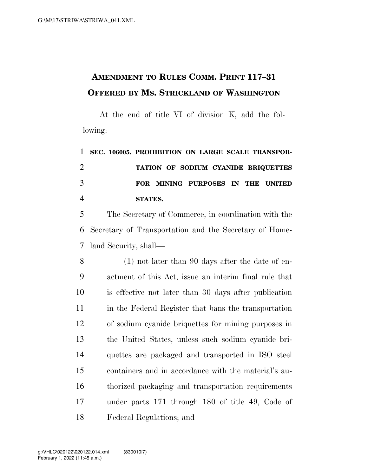## **AMENDMENT TO RULES COMM. PRINT 117–31 OFFERED BY MS. STRICKLAND OF WASHINGTON**

At the end of title VI of division K, add the following:

 **SEC. 106005. PROHIBITION ON LARGE SCALE TRANSPOR- TATION OF SODIUM CYANIDE BRIQUETTES FOR MINING PURPOSES IN THE UNITED STATES.** 

 The Secretary of Commerce, in coordination with the Secretary of Transportation and the Secretary of Home-land Security, shall—

 (1) not later than 90 days after the date of en- actment of this Act, issue an interim final rule that is effective not later than 30 days after publication in the Federal Register that bans the transportation of sodium cyanide briquettes for mining purposes in the United States, unless such sodium cyanide bri- quettes are packaged and transported in ISO steel containers and in accordance with the material's au- thorized packaging and transportation requirements under parts 171 through 180 of title 49, Code of Federal Regulations; and